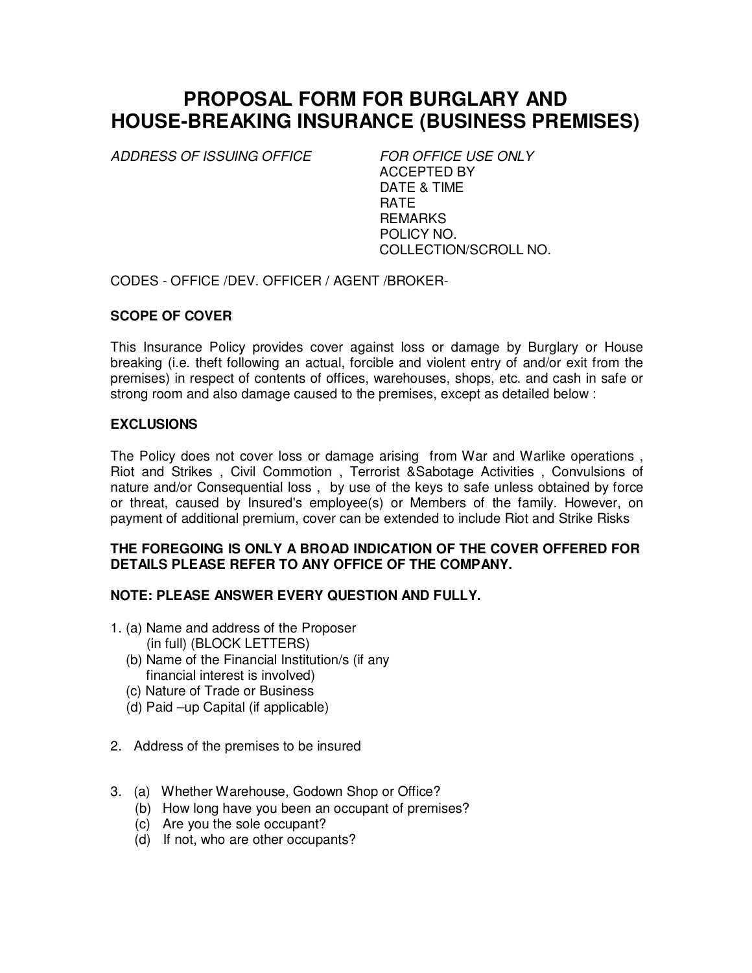# **PROPOSAL FORM FOR BURGLARY AND HOUSE-BREAKING INSURANCE (BUSINESS PREMISES)**

ADDRESS OF ISSUING OFFICE FOR OFFICE USE ONLY

ACCEPTED BY DATE & TIME **RATE REMARKS** POLICY NO. COLLECTION/SCROLL NO.

CODES - OFFICE /DEV. OFFICER / AGENT /BROKER-

# **SCOPE OF COVER**

This Insurance Policy provides cover against loss or damage by Burglary or House breaking (i.e. theft following an actual, forcible and violent entry of and/or exit from the premises) in respect of contents of offices, warehouses, shops, etc. and cash in safe or strong room and also damage caused to the premises, except as detailed below :

## **EXCLUSIONS**

The Policy does not cover loss or damage arising from War and Warlike operations , Riot and Strikes , Civil Commotion , Terrorist &Sabotage Activities , Convulsions of nature and/or Consequential loss , by use of the keys to safe unless obtained by force or threat, caused by Insured's employee(s) or Members of the family. However, on payment of additional premium, cover can be extended to include Riot and Strike Risks

## **THE FOREGOING IS ONLY A BROAD INDICATION OF THE COVER OFFERED FOR DETAILS PLEASE REFER TO ANY OFFICE OF THE COMPANY.**

# **NOTE: PLEASE ANSWER EVERY QUESTION AND FULLY.**

- 1. (a) Name and address of the Proposer (in full) (BLOCK LETTERS)
	- (b) Name of the Financial Institution/s (if any financial interest is involved)
	- (c) Nature of Trade or Business
	- (d) Paid –up Capital (if applicable)
- 2. Address of the premises to be insured
- 3. (a) Whether Warehouse, Godown Shop or Office?
	- (b) How long have you been an occupant of premises?
	- (c) Are you the sole occupant?
	- (d) If not, who are other occupants?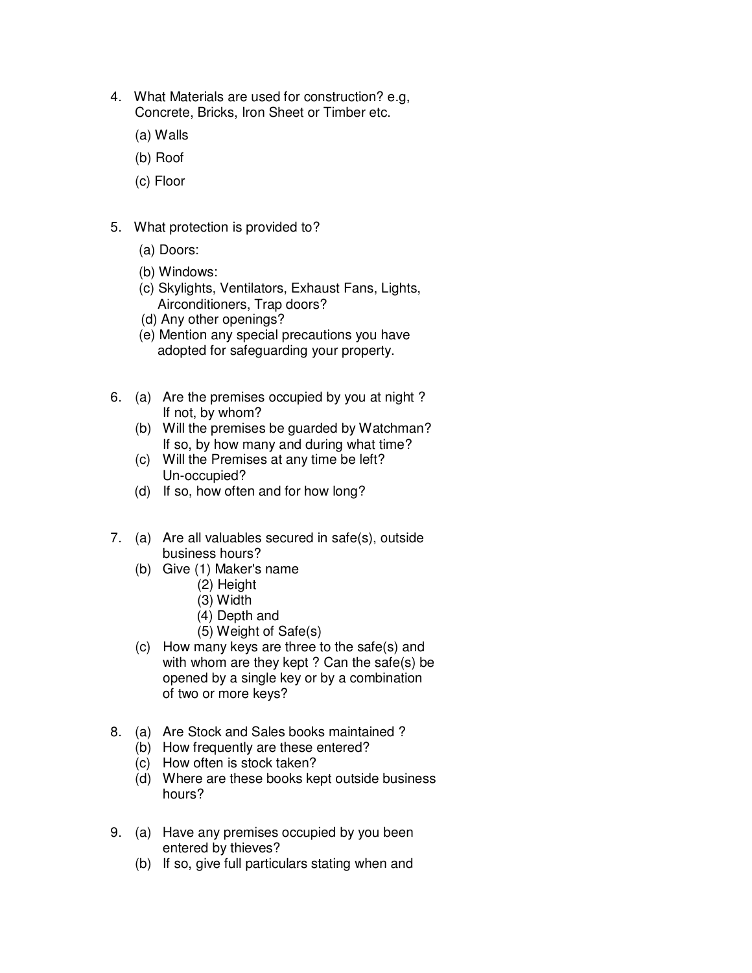- 4. What Materials are used for construction? e.g, Concrete, Bricks, Iron Sheet or Timber etc.
	- (a) Walls
	- (b) Roof
	- (c) Floor
- 5. What protection is provided to?
	- (a) Doors:
	- (b) Windows:
	- (c) Skylights, Ventilators, Exhaust Fans, Lights, Airconditioners, Trap doors?
	- (d) Any other openings?
	- (e) Mention any special precautions you have adopted for safeguarding your property.
- 6. (a) Are the premises occupied by you at night ? If not, by whom?
	- (b) Will the premises be guarded by Watchman? If so, by how many and during what time?
	- (c) Will the Premises at any time be left? Un-occupied?
	- (d) If so, how often and for how long?
- 7. (a) Are all valuables secured in safe(s), outside business hours?
	- (b) Give (1) Maker's name
		- (2) Height
		- (3) Width
		- (4) Depth and
		- (5) Weight of Safe(s)
	- of two or more keys? (c) How many keys are three to the safe(s) and with whom are they kept ? Can the safe(s) be opened by a single key or by a combination
- 8. (a) Are Stock and Sales books maintained ?
	- (b) How frequently are these entered?
	- (c) How often is stock taken?
	- (d) Where are these books kept outside business hours?
- 9. (a) Have any premises occupied by you been entered by thieves?
	- (b) If so, give full particulars stating when and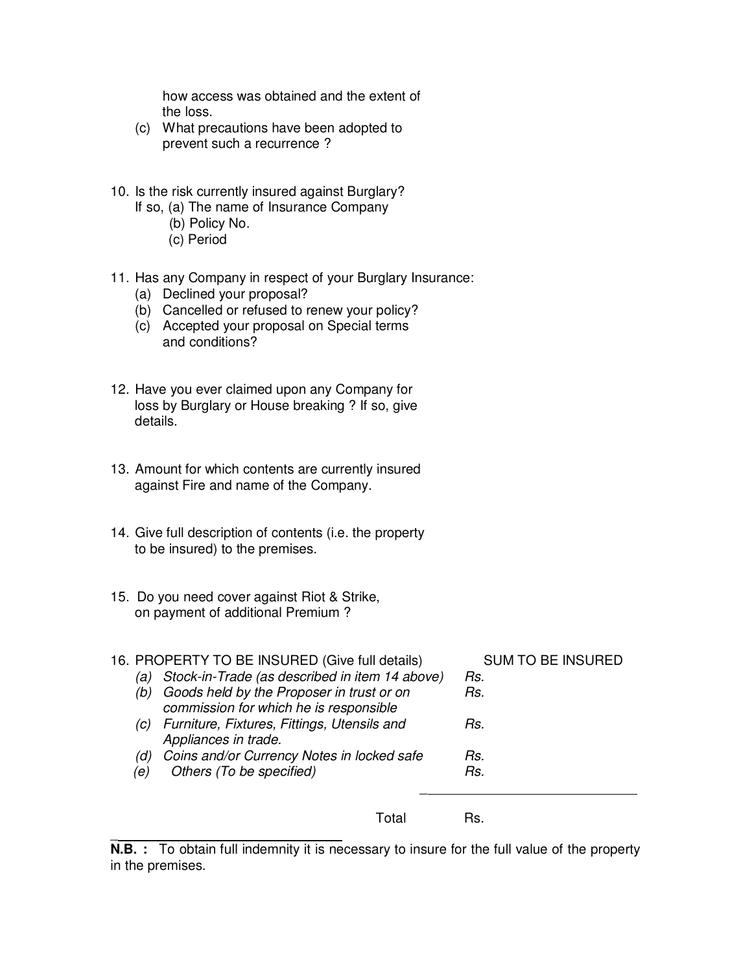how access was obtained and the extent of the loss.

- (c) What precautions have been adopted to prevent such a recurrence ?
- 10. Is the risk currently insured against Burglary?
	- If so, (a) The name of Insurance Company
		- (b) Policy No.
		- (c) Period
- 11. Has any Company in respect of your Burglary Insurance:
	- (a) Declined your proposal?
	- (b) Cancelled or refused to renew your policy?
	- (c) Accepted your proposal on Special terms and conditions?
- 12. Have you ever claimed upon any Company for loss by Burglary or House breaking ? If so, give details.
- 13. Amount for which contents are currently insured against Fire and name of the Company.
- 14. Give full description of contents (i.e. the property to be insured) to the premises.
- 15. Do you need cover against Riot & Strike, on payment of additional Premium ?

 $\overline{\phantom{a}}$ 

| 16. PROPERTY TO BE INSURED (Give full details) |                                                                                     | <b>SUM TO BE INSURED</b> |
|------------------------------------------------|-------------------------------------------------------------------------------------|--------------------------|
| (a)                                            | Stock-in-Trade (as described in item 14 above)                                      | Rs.                      |
| (b)                                            | Goods held by the Proposer in trust or on<br>commission for which he is responsible | Rs.                      |
| (C)                                            | Furniture, Fixtures, Fittings, Utensils and<br>Appliances in trade.                 | Rs.                      |
| (d)                                            | Coins and/or Currency Notes in locked safe                                          | Rs.                      |
| (e)                                            | Others (To be specified)                                                            | Rs.                      |
|                                                | Lotal                                                                               |                          |

**N.B.** : To obtain full indemnity it is necessary to insure for the full value of the property in the premises.